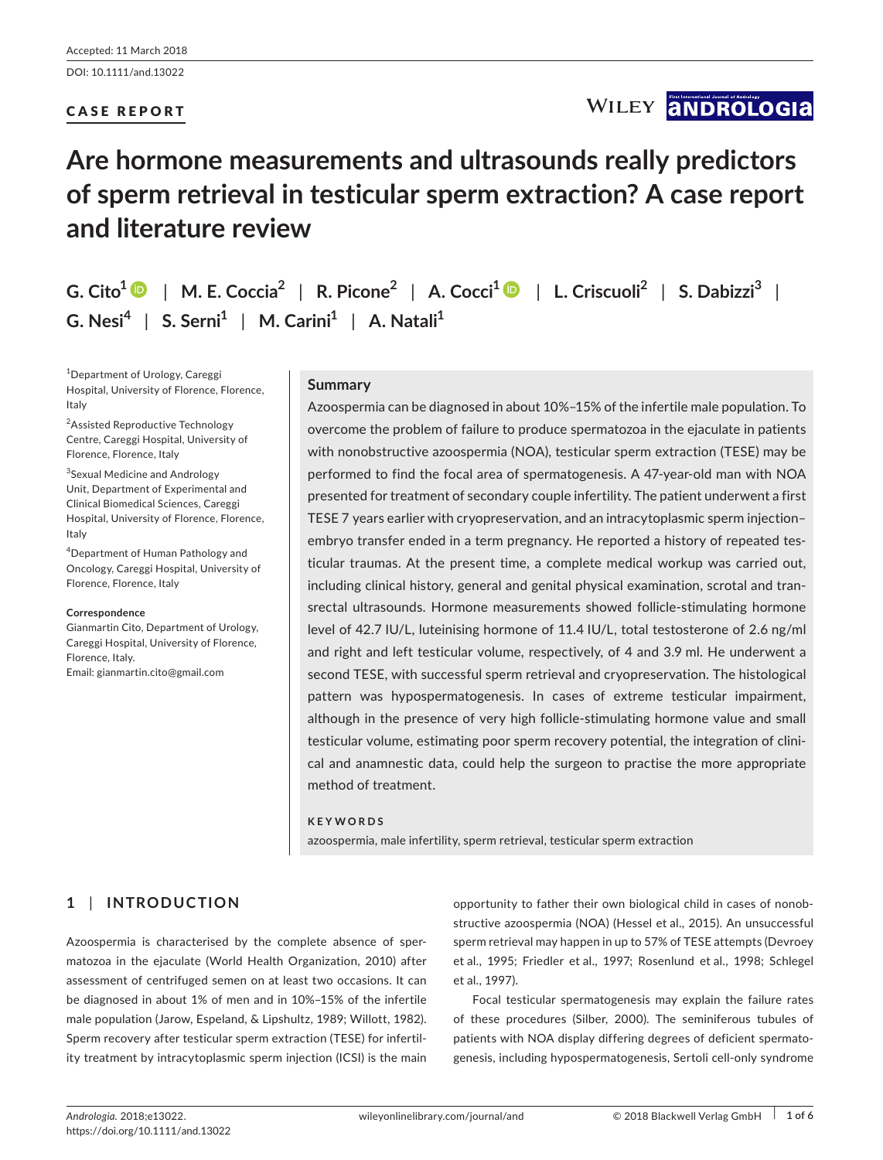# CASE REPORT

# WILEY **ANDROLOGIA**

# **Are hormone measurements and ultrasounds really predictors of sperm retrieval in testicular sperm extraction? A case report and literature review**

**G. Cito<sup>1</sup>** | **M. E. Coccia<sup>2</sup>** | **R. Picone<sup>2</sup>** | **A. Cocci[1](http://orcid.org/0000-0003-0138-6294)** | **L. Criscuoli<sup>2</sup>** | **S. Dabizzi<sup>3</sup>** | **G. Nesi<sup>4</sup>** | **S. Serni<sup>1</sup>** | **M. Carini<sup>1</sup>** | **A. Natali<sup>1</sup>**

1 Department of Urology, Careggi Hospital, University of Florence, Florence, Italy

<sup>2</sup>Assisted Reproductive Technology Centre, Careggi Hospital, University of Florence, Florence, Italy

3 Sexual Medicine and Andrology Unit, Department of Experimental and Clinical Biomedical Sciences, Careggi Hospital, University of Florence, Florence, Italy

4 Department of Human Pathology and Oncology, Careggi Hospital, University of Florence, Florence, Italy

#### **Correspondence**

Gianmartin Cito, Department of Urology, Careggi Hospital, University of Florence, Florence, Italy. Email: [gianmartin.cito@gmail.com](mailto:gianmartin.cito@gmail.com)

## **Summary**

Azoospermia can be diagnosed in about 10%–15% of the infertile male population. To overcome the problem of failure to produce spermatozoa in the ejaculate in patients with nonobstructive azoospermia (NOA), testicular sperm extraction (TESE) may be performed to find the focal area of spermatogenesis. A 47-year-old man with NOA presented for treatment of secondary couple infertility. The patient underwent a first TESE 7 years earlier with cryopreservation, and an intracytoplasmic sperm injection– embryo transfer ended in a term pregnancy. He reported a history of repeated testicular traumas. At the present time, a complete medical workup was carried out, including clinical history, general and genital physical examination, scrotal and transrectal ultrasounds. Hormone measurements showed follicle-stimulating hormone level of 42.7 IU/L, luteinising hormone of 11.4 IU/L, total testosterone of 2.6 ng/ml and right and left testicular volume, respectively, of 4 and 3.9 ml. He underwent a second TESE, with successful sperm retrieval and cryopreservation. The histological pattern was hypospermatogenesis. In cases of extreme testicular impairment, although in the presence of very high follicle-stimulating hormone value and small testicular volume, estimating poor sperm recovery potential, the integration of clinical and anamnestic data, could help the surgeon to practise the more appropriate method of treatment.

#### **KEYWORDS**

azoospermia, male infertility, sperm retrieval, testicular sperm extraction

# **1** | **INTRODUCTION**

Azoospermia is characterised by the complete absence of spermatozoa in the ejaculate (World Health Organization, 2010) after assessment of centrifuged semen on at least two occasions. It can be diagnosed in about 1% of men and in 10%–15% of the infertile male population (Jarow, Espeland, & Lipshultz, 1989; Willott, 1982). Sperm recovery after testicular sperm extraction (TESE) for infertility treatment by intracytoplasmic sperm injection (ICSI) is the main

opportunity to father their own biological child in cases of nonobstructive azoospermia (NOA) (Hessel et al., 2015). An unsuccessful sperm retrieval may happen in up to 57% of TESE attempts (Devroey et al., 1995; Friedler et al., 1997; Rosenlund et al., 1998; Schlegel et al., 1997).

Focal testicular spermatogenesis may explain the failure rates of these procedures (Silber, 2000). The seminiferous tubules of patients with NOA display differing degrees of deficient spermatogenesis, including hypospermatogenesis, Sertoli cell-only syndrome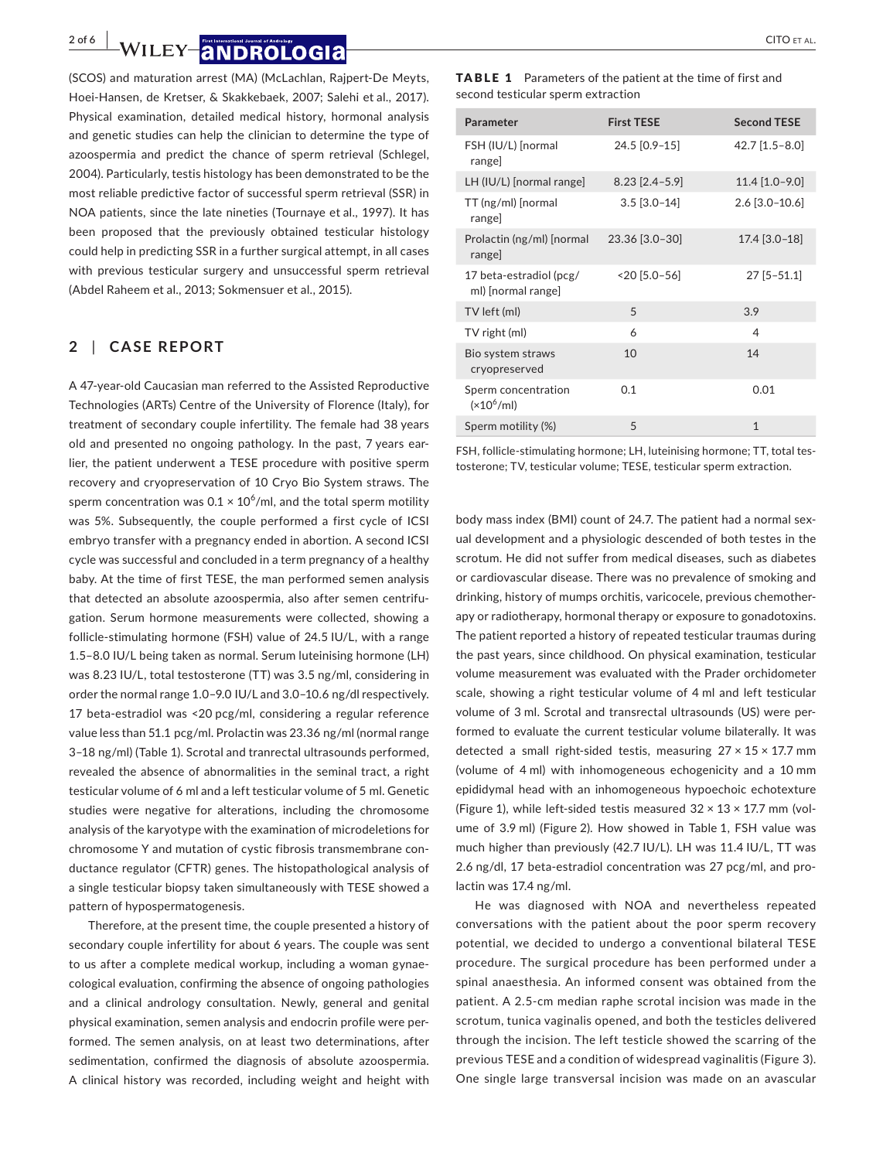**2 of 6 | WILEY |ANDROLOGIA** CITO ET AL.

(SCOS) and maturation arrest (MA) (McLachlan, Rajpert-De Meyts, Hoei-Hansen, de Kretser, & Skakkebaek, 2007; Salehi et al., 2017). Physical examination, detailed medical history, hormonal analysis and genetic studies can help the clinician to determine the type of azoospermia and predict the chance of sperm retrieval (Schlegel, 2004). Particularly, testis histology has been demonstrated to be the most reliable predictive factor of successful sperm retrieval (SSR) in NOA patients, since the late nineties (Tournaye et al., 1997). It has been proposed that the previously obtained testicular histology could help in predicting SSR in a further surgical attempt, in all cases with previous testicular surgery and unsuccessful sperm retrieval (Abdel Raheem et al., 2013; Sokmensuer et al., 2015).

### **2** | **CASE REPORT**

A 47-year-old Caucasian man referred to the Assisted Reproductive Technologies (ARTs) Centre of the University of Florence (Italy), for treatment of secondary couple infertility. The female had 38 years old and presented no ongoing pathology. In the past, 7 years earlier, the patient underwent a TESE procedure with positive sperm recovery and cryopreservation of 10 Cryo Bio System straws. The sperm concentration was 0.1  $\times$  10 $^6$ /ml, and the total sperm motility was 5%. Subsequently, the couple performed a first cycle of ICSI embryo transfer with a pregnancy ended in abortion. A second ICSI cycle was successful and concluded in a term pregnancy of a healthy baby. At the time of first TESE, the man performed semen analysis that detected an absolute azoospermia, also after semen centrifugation. Serum hormone measurements were collected, showing a follicle-stimulating hormone (FSH) value of 24.5 IU/L, with a range 1.5–8.0 IU/L being taken as normal. Serum luteinising hormone (LH) was 8.23 IU/L, total testosterone (TT) was 3.5 ng/ml, considering in order the normal range 1.0–9.0 IU/L and 3.0–10.6 ng/dl respectively. 17 beta-estradiol was <20 pcg/ml, considering a regular reference value less than 51.1 pcg/ml. Prolactin was 23.36 ng/ml (normal range 3–18 ng/ml) (Table 1). Scrotal and tranrectal ultrasounds performed, revealed the absence of abnormalities in the seminal tract, a right testicular volume of 6 ml and a left testicular volume of 5 ml. Genetic studies were negative for alterations, including the chromosome analysis of the karyotype with the examination of microdeletions for chromosome Y and mutation of cystic fibrosis transmembrane conductance regulator (CFTR) genes. The histopathological analysis of a single testicular biopsy taken simultaneously with TESE showed a pattern of hypospermatogenesis.

Therefore, at the present time, the couple presented a history of secondary couple infertility for about 6 years. The couple was sent to us after a complete medical workup, including a woman gynaecological evaluation, confirming the absence of ongoing pathologies and a clinical andrology consultation. Newly, general and genital physical examination, semen analysis and endocrin profile were performed. The semen analysis, on at least two determinations, after sedimentation, confirmed the diagnosis of absolute azoospermia. A clinical history was recorded, including weight and height with TABLE 1 Parameters of the patient at the time of first and second testicular sperm extraction

| Parameter                                     | <b>First TESE</b>  | <b>Second TESE</b> |
|-----------------------------------------------|--------------------|--------------------|
| FSH (IU/L) [normal<br>range]                  | 24.5 [0.9-15]      | $42.7$ [1.5-8.0]   |
| LH (IU/L) [normal range]                      | $8.23$ [2.4-5.9]   | $11.4$ [1.0-9.0]   |
| TT (ng/ml) [normal<br>range]                  | $3.5$ [ $3.0-14$ ] | $2.6$ [3.0-10.6]   |
| Prolactin (ng/ml) [normal<br>range]           | 23.36 [3.0-30]     | 17.4 [3.0-18]      |
| 17 beta-estradiol (pcg/<br>ml) [normal range] | $< 20$ [5.0-56]    | $27$ [5-51.1]      |
| TV left (ml)                                  | 5                  | 3.9                |
| TV right (ml)                                 | 6                  | $\overline{4}$     |
| Bio system straws<br>cryopreserved            | 10                 | 14                 |
| Sperm concentration<br>$(x10^6$ /ml)          | 0.1                | 0.01               |
| Sperm motility (%)                            | 5                  | 1                  |

FSH, follicle-stimulating hormone; LH, luteinising hormone; TT, total testosterone; TV, testicular volume; TESE, testicular sperm extraction.

body mass index (BMI) count of 24.7. The patient had a normal sexual development and a physiologic descended of both testes in the scrotum. He did not suffer from medical diseases, such as diabetes or cardiovascular disease. There was no prevalence of smoking and drinking, history of mumps orchitis, varicocele, previous chemotherapy or radiotherapy, hormonal therapy or exposure to gonadotoxins. The patient reported a history of repeated testicular traumas during the past years, since childhood. On physical examination, testicular volume measurement was evaluated with the Prader orchidometer scale, showing a right testicular volume of 4 ml and left testicular volume of 3 ml. Scrotal and transrectal ultrasounds (US) were performed to evaluate the current testicular volume bilaterally. It was detected a small right-sided testis, measuring 27 × 15 × 17.7 mm (volume of 4 ml) with inhomogeneous echogenicity and a 10 mm epididymal head with an inhomogeneous hypoechoic echotexture (Figure 1), while left-sided testis measured  $32 \times 13 \times 17.7$  mm (volume of 3.9 ml) (Figure 2). How showed in Table 1, FSH value was much higher than previously (42.7 IU/L). LH was 11.4 IU/L, TT was 2.6 ng/dl, 17 beta-estradiol concentration was 27 pcg/ml, and prolactin was 17.4 ng/ml.

He was diagnosed with NOA and nevertheless repeated conversations with the patient about the poor sperm recovery potential, we decided to undergo a conventional bilateral TESE procedure. The surgical procedure has been performed under a spinal anaesthesia. An informed consent was obtained from the patient. A 2.5-cm median raphe scrotal incision was made in the scrotum, tunica vaginalis opened, and both the testicles delivered through the incision. The left testicle showed the scarring of the previous TESE and a condition of widespread vaginalitis (Figure 3). One single large transversal incision was made on an avascular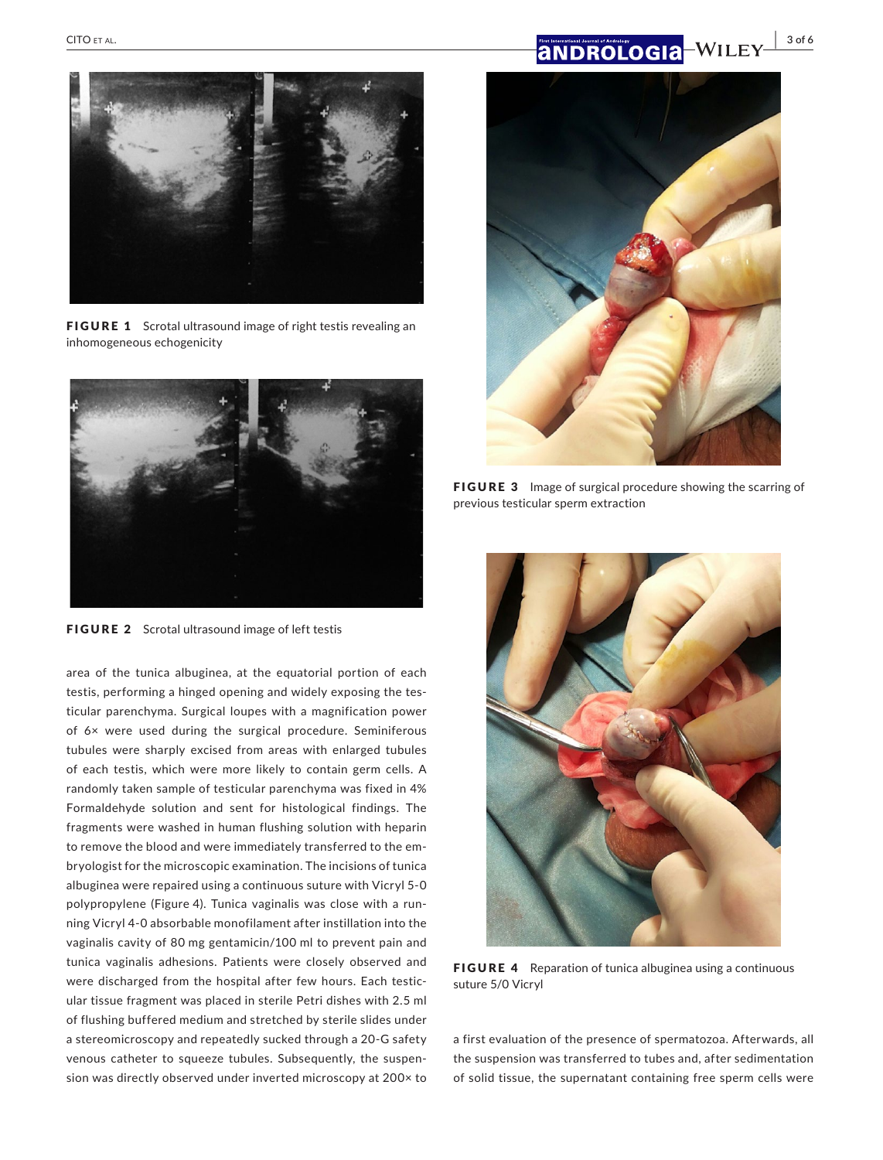# **|** CITO et al. **3 of 6**



FIGURE 1 Scrotal ultrasound image of right testis revealing an inhomogeneous echogenicity



FIGURE 2 Scrotal ultrasound image of left testis

area of the tunica albuginea, at the equatorial portion of each testis, performing a hinged opening and widely exposing the testicular parenchyma. Surgical loupes with a magnification power of 6× were used during the surgical procedure. Seminiferous tubules were sharply excised from areas with enlarged tubules of each testis, which were more likely to contain germ cells. A randomly taken sample of testicular parenchyma was fixed in 4% Formaldehyde solution and sent for histological findings. The fragments were washed in human flushing solution with heparin to remove the blood and were immediately transferred to the embryologist for the microscopic examination. The incisions of tunica albuginea were repaired using a continuous suture with Vicryl 5-0 polypropylene (Figure 4). Tunica vaginalis was close with a running Vicryl 4-0 absorbable monofilament after instillation into the vaginalis cavity of 80 mg gentamicin/100 ml to prevent pain and tunica vaginalis adhesions. Patients were closely observed and were discharged from the hospital after few hours. Each testicular tissue fragment was placed in sterile Petri dishes with 2.5 ml of flushing buffered medium and stretched by sterile slides under a stereomicroscopy and repeatedly sucked through a 20-G safety venous catheter to squeeze tubules. Subsequently, the suspension was directly observed under inverted microscopy at 200× to



FIGURE 3 Image of surgical procedure showing the scarring of previous testicular sperm extraction



FIGURE 4 Reparation of tunica albuginea using a continuous suture 5/0 Vicryl

a first evaluation of the presence of spermatozoa. Afterwards, all the suspension was transferred to tubes and, after sedimentation of solid tissue, the supernatant containing free sperm cells were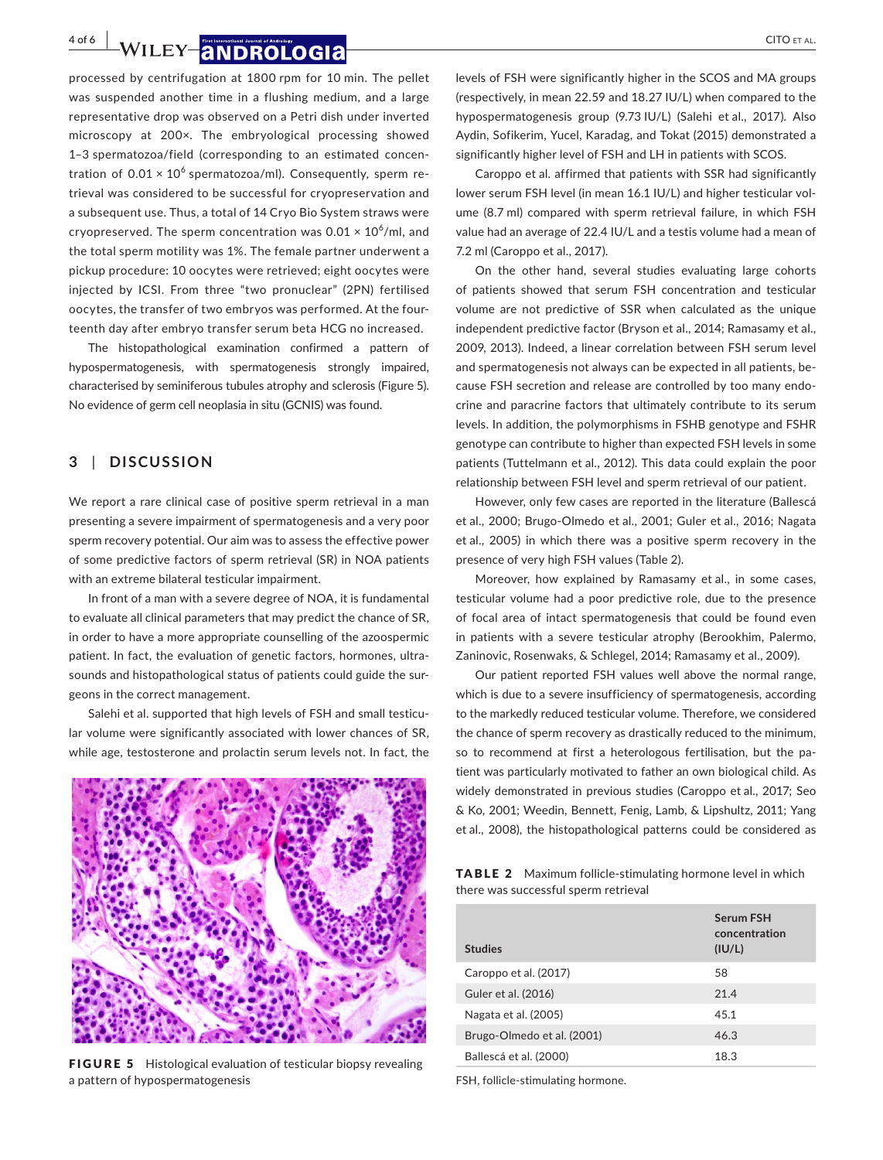**4 of 6 | WILEY |ANDROLOGIA** CITO ET AL.

processed by centrifugation at 1800 rpm for 10 min. The pellet was suspended another time in a flushing medium, and a large representative drop was observed on a Petri dish under inverted microscopy at 200×. The embryological processing showed 1–3 spermatozoa/field (corresponding to an estimated concentration of  $0.01 \times 10^6$  spermatozoa/ml). Consequently, sperm retrieval was considered to be successful for cryopreservation and a subsequent use. Thus, a total of 14 Cryo Bio System straws were cryopreserved. The sperm concentration was  $0.01 \times 10^6$ /ml, and the total sperm motility was 1%. The female partner underwent a pickup procedure: 10 oocytes were retrieved; eight oocytes were injected by ICSI. From three "two pronuclear" (2PN) fertilised oocytes, the transfer of two embryos was performed. At the fourteenth day after embryo transfer serum beta HCG no increased.

The histopathological examination confirmed a pattern of hypospermatogenesis, with spermatogenesis strongly impaired, characterised by seminiferous tubules atrophy and sclerosis (Figure 5). No evidence of germ cell neoplasia in situ (GCNIS) was found.

# **3** | **DISCUSSION**

We report a rare clinical case of positive sperm retrieval in a man presenting a severe impairment of spermatogenesis and a very poor sperm recovery potential. Our aim was to assess the effective power of some predictive factors of sperm retrieval (SR) in NOA patients with an extreme bilateral testicular impairment.

In front of a man with a severe degree of NOA, it is fundamental to evaluate all clinical parameters that may predict the chance of SR, in order to have a more appropriate counselling of the azoospermic patient. In fact, the evaluation of genetic factors, hormones, ultrasounds and histopathological status of patients could guide the surgeons in the correct management.

Salehi et al. supported that high levels of FSH and small testicular volume were significantly associated with lower chances of SR, while age, testosterone and prolactin serum levels not. In fact, the



FIGURE 5 Histological evaluation of testicular biopsy revealing a pattern of hypospermatogenesis

levels of FSH were significantly higher in the SCOS and MA groups (respectively, in mean 22.59 and 18.27 IU/L) when compared to the hypospermatogenesis group (9.73 IU/L) (Salehi et al., 2017). Also Aydin, Sofikerim, Yucel, Karadag, and Tokat (2015) demonstrated a significantly higher level of FSH and LH in patients with SCOS.

Caroppo et al. affirmed that patients with SSR had significantly lower serum FSH level (in mean 16.1 IU/L) and higher testicular volume (8.7 ml) compared with sperm retrieval failure, in which FSH value had an average of 22.4 IU/L and a testis volume had a mean of 7.2 ml (Caroppo et al., 2017).

On the other hand, several studies evaluating large cohorts of patients showed that serum FSH concentration and testicular volume are not predictive of SSR when calculated as the unique independent predictive factor (Bryson et al., 2014; Ramasamy et al., 2009, 2013). Indeed, a linear correlation between FSH serum level and spermatogenesis not always can be expected in all patients, because FSH secretion and release are controlled by too many endocrine and paracrine factors that ultimately contribute to its serum levels. In addition, the polymorphisms in FSHB genotype and FSHR genotype can contribute to higher than expected FSH levels in some patients (Tuttelmann et al., 2012). This data could explain the poor relationship between FSH level and sperm retrieval of our patient.

However, only few cases are reported in the literature (Ballescá et al., 2000; Brugo-Olmedo et al., 2001; Guler et al., 2016; Nagata et al., 2005) in which there was a positive sperm recovery in the presence of very high FSH values (Table 2).

Moreover, how explained by Ramasamy et al., in some cases, testicular volume had a poor predictive role, due to the presence of focal area of intact spermatogenesis that could be found even in patients with a severe testicular atrophy (Berookhim, Palermo, Zaninovic, Rosenwaks, & Schlegel, 2014; Ramasamy et al., 2009).

Our patient reported FSH values well above the normal range, which is due to a severe insufficiency of spermatogenesis, according to the markedly reduced testicular volume. Therefore, we considered the chance of sperm recovery as drastically reduced to the minimum, so to recommend at first a heterologous fertilisation, but the patient was particularly motivated to father an own biological child. As widely demonstrated in previous studies (Caroppo et al., 2017; Seo & Ko, 2001; Weedin, Bennett, Fenig, Lamb, & Lipshultz, 2011; Yang et al., 2008), the histopathological patterns could be considered as

| <b>TABLE 2</b> Maximum follicle-stimulating hormone level in which |
|--------------------------------------------------------------------|
| there was successful sperm retrieval                               |

| <b>Studies</b>             | Serum FSH<br>concentration<br>(IU/L) |
|----------------------------|--------------------------------------|
| Caroppo et al. (2017)      | 58                                   |
| Guler et al. (2016)        | 21.4                                 |
| Nagata et al. (2005)       | 45.1                                 |
| Brugo-Olmedo et al. (2001) | 46.3                                 |
| Ballescá et al. (2000)     | 18.3                                 |

FSH, follicle-stimulating hormone.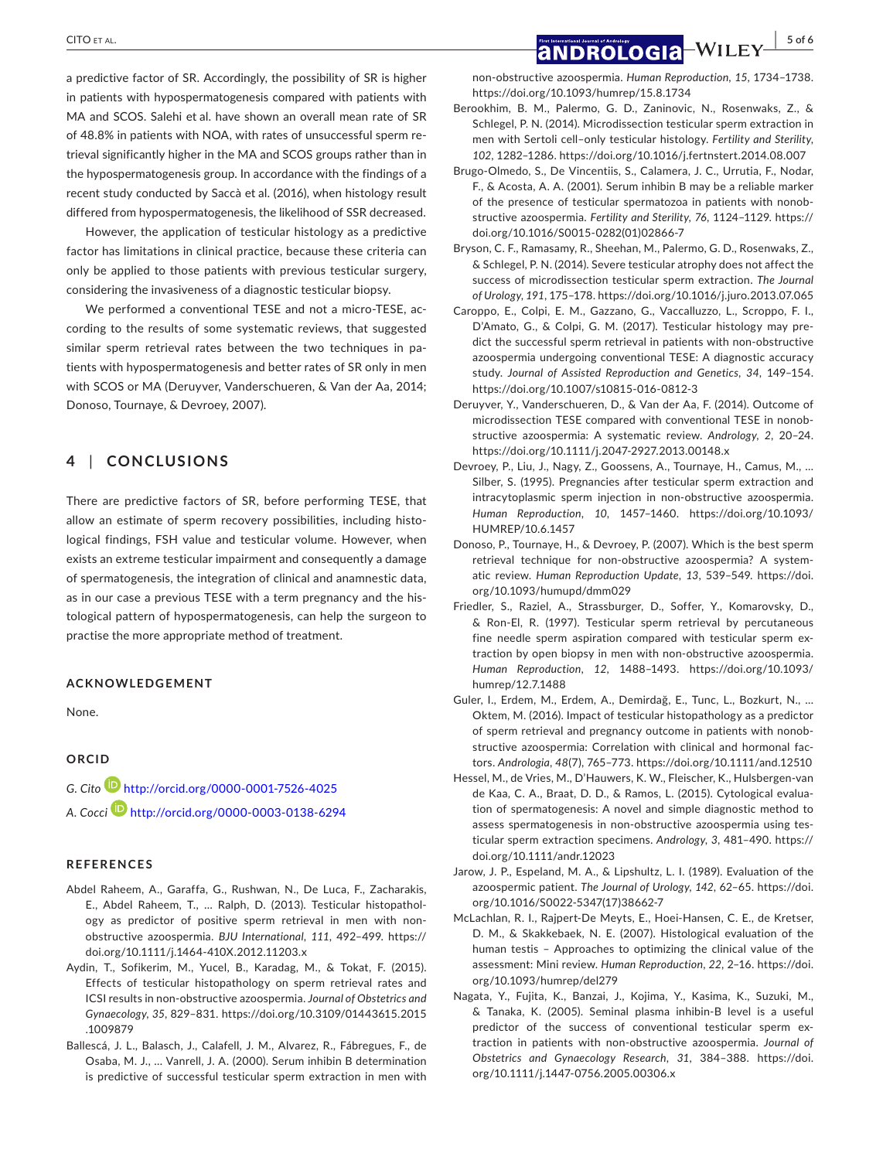a predictive factor of SR. Accordingly, the possibility of SR is higher in patients with hypospermatogenesis compared with patients with MA and SCOS. Salehi et al. have shown an overall mean rate of SR of 48.8% in patients with NOA, with rates of unsuccessful sperm retrieval significantly higher in the MA and SCOS groups rather than in the hypospermatogenesis group. In accordance with the findings of a recent study conducted by Saccà et al. (2016), when histology result differed from hypospermatogenesis, the likelihood of SSR decreased.

However, the application of testicular histology as a predictive factor has limitations in clinical practice, because these criteria can only be applied to those patients with previous testicular surgery, considering the invasiveness of a diagnostic testicular biopsy.

We performed a conventional TESE and not a micro-TESE, according to the results of some systematic reviews, that suggested similar sperm retrieval rates between the two techniques in patients with hypospermatogenesis and better rates of SR only in men with SCOS or MA (Deruyver, Vanderschueren, & Van der Aa, 2014; Donoso, Tournaye, & Devroey, 2007).

# **4** | **CONCLUSIONS**

There are predictive factors of SR, before performing TESE, that allow an estimate of sperm recovery possibilities, including histological findings, FSH value and testicular volume. However, when exists an extreme testicular impairment and consequently a damage of spermatogenesis, the integration of clinical and anamnestic data, as in our case a previous TESE with a term pregnancy and the histological pattern of hypospermatogenesis, can help the surgeon to practise the more appropriate method of treatment.

#### **ACKNOWLEDGEMENT**

None.

#### **ORCID**

*G. Cito* <http://orcid.org/0000-0001-7526-4025> *A. Cocci* <http://orcid.org/0000-0003-0138-6294>

#### **REFERENCES**

- Abdel Raheem, A., Garaffa, G., Rushwan, N., De Luca, F., Zacharakis, E., Abdel Raheem, T., … Ralph, D. (2013). Testicular histopathology as predictor of positive sperm retrieval in men with nonobstructive azoospermia. *BJU International*, *111*, 492–499. [https://](https://doi.org/10.1111/j.1464-410X.2012.11203.x) [doi.org/10.1111/j.1464-410X.2012.11203.x](https://doi.org/10.1111/j.1464-410X.2012.11203.x)
- Aydin, T., Sofikerim, M., Yucel, B., Karadag, M., & Tokat, F. (2015). Effects of testicular histopathology on sperm retrieval rates and ICSI results in non-obstructive azoospermia. *Journal of Obstetrics and Gynaecology*, *35*, 829–831. [https://doi.org/10.3109/01443615.2015](https://doi.org/10.3109/01443615.2015.1009879) [.1009879](https://doi.org/10.3109/01443615.2015.1009879)
- Ballescá, J. L., Balasch, J., Calafell, J. M., Alvarez, R., Fábregues, F., de Osaba, M. J., … Vanrell, J. A. (2000). Serum inhibin B determination is predictive of successful testicular sperm extraction in men with

non-obstructive azoospermia. *Human Reproduction*, *15*, 1734–1738. <https://doi.org/10.1093/humrep/15.8.1734>

- Berookhim, B. M., Palermo, G. D., Zaninovic, N., Rosenwaks, Z., & Schlegel, P. N. (2014). Microdissection testicular sperm extraction in men with Sertoli cell–only testicular histology. *Fertility and Sterility*, *102*, 1282–1286.<https://doi.org/10.1016/j.fertnstert.2014.08.007>
- Brugo-Olmedo, S., De Vincentiis, S., Calamera, J. C., Urrutia, F., Nodar, F., & Acosta, A. A. (2001). Serum inhibin B may be a reliable marker of the presence of testicular spermatozoa in patients with nonobstructive azoospermia. *Fertility and Sterility*, *76*, 1124–1129. [https://](https://doi.org/10.1016/S0015-0282(01)02866-7) [doi.org/10.1016/S0015-0282\(01\)02866-7](https://doi.org/10.1016/S0015-0282(01)02866-7)
- Bryson, C. F., Ramasamy, R., Sheehan, M., Palermo, G. D., Rosenwaks, Z., & Schlegel, P. N. (2014). Severe testicular atrophy does not affect the success of microdissection testicular sperm extraction. *The Journal of Urology*, *191*, 175–178.<https://doi.org/10.1016/j.juro.2013.07.065>
- Caroppo, E., Colpi, E. M., Gazzano, G., Vaccalluzzo, L., Scroppo, F. I., D'Amato, G., & Colpi, G. M. (2017). Testicular histology may predict the successful sperm retrieval in patients with non-obstructive azoospermia undergoing conventional TESE: A diagnostic accuracy study. *Journal of Assisted Reproduction and Genetics*, *34*, 149–154. <https://doi.org/10.1007/s10815-016-0812-3>
- Deruyver, Y., Vanderschueren, D., & Van der Aa, F. (2014). Outcome of microdissection TESE compared with conventional TESE in nonobstructive azoospermia: A systematic review. *Andrology*, *2*, 20–24. <https://doi.org/10.1111/j.2047-2927.2013.00148.x>
- Devroey, P., Liu, J., Nagy, Z., Goossens, A., Tournaye, H., Camus, M., … Silber, S. (1995). Pregnancies after testicular sperm extraction and intracytoplasmic sperm injection in non-obstructive azoospermia. *Human Reproduction*, *10*, 1457–1460. [https://doi.org/10.1093/](https://doi.org/10.1093/HUMREP/10.6.1457) [HUMREP/10.6.1457](https://doi.org/10.1093/HUMREP/10.6.1457)
- Donoso, P., Tournaye, H., & Devroey, P. (2007). Which is the best sperm retrieval technique for non-obstructive azoospermia? A systematic review. *Human Reproduction Update*, *13*, 539–549. [https://doi.](https://doi.org/10.1093/humupd/dmm029) [org/10.1093/humupd/dmm029](https://doi.org/10.1093/humupd/dmm029)
- Friedler, S., Raziel, A., Strassburger, D., Soffer, Y., Komarovsky, D., & Ron-El, R. (1997). Testicular sperm retrieval by percutaneous fine needle sperm aspiration compared with testicular sperm extraction by open biopsy in men with non-obstructive azoospermia. *Human Reproduction*, *12*, 1488–1493. [https://doi.org/10.1093/](https://doi.org/10.1093/humrep/12.7.1488) [humrep/12.7.1488](https://doi.org/10.1093/humrep/12.7.1488)
- Guler, I., Erdem, M., Erdem, A., Demirdağ, E., Tunc, L., Bozkurt, N., … Oktem, M. (2016). Impact of testicular histopathology as a predictor of sperm retrieval and pregnancy outcome in patients with nonobstructive azoospermia: Correlation with clinical and hormonal factors. *Andrologia*, *48*(7), 765–773.<https://doi.org/10.1111/and.12510>
- Hessel, M., de Vries, M., D'Hauwers, K. W., Fleischer, K., Hulsbergen-van de Kaa, C. A., Braat, D. D., & Ramos, L. (2015). Cytological evaluation of spermatogenesis: A novel and simple diagnostic method to assess spermatogenesis in non-obstructive azoospermia using testicular sperm extraction specimens. *Andrology*, *3*, 481–490. [https://](https://doi.org/10.1111/andr.12023) [doi.org/10.1111/andr.12023](https://doi.org/10.1111/andr.12023)
- Jarow, J. P., Espeland, M. A., & Lipshultz, L. I. (1989). Evaluation of the azoospermic patient. *The Journal of Urology*, *142*, 62–65. [https://doi.](https://doi.org/10.1016/S0022-5347(17)38662-7) [org/10.1016/S0022-5347\(17\)38662-7](https://doi.org/10.1016/S0022-5347(17)38662-7)
- McLachlan, R. I., Rajpert-De Meyts, E., Hoei-Hansen, C. E., de Kretser, D. M., & Skakkebaek, N. E. (2007). Histological evaluation of the human testis – Approaches to optimizing the clinical value of the assessment: Mini review. *Human Reproduction*, *22*, 2–16. [https://doi.](https://doi.org/10.1093/humrep/del279) [org/10.1093/humrep/del279](https://doi.org/10.1093/humrep/del279)
- Nagata, Y., Fujita, K., Banzai, J., Kojima, Y., Kasima, K., Suzuki, M., & Tanaka, K. (2005). Seminal plasma inhibin-B level is a useful predictor of the success of conventional testicular sperm extraction in patients with non-obstructive azoospermia. *Journal of Obstetrics and Gynaecology Research*, *31*, 384–388. [https://doi.](https://doi.org/10.1111/j.1447-0756.2005.00306.x) [org/10.1111/j.1447-0756.2005.00306.x](https://doi.org/10.1111/j.1447-0756.2005.00306.x)